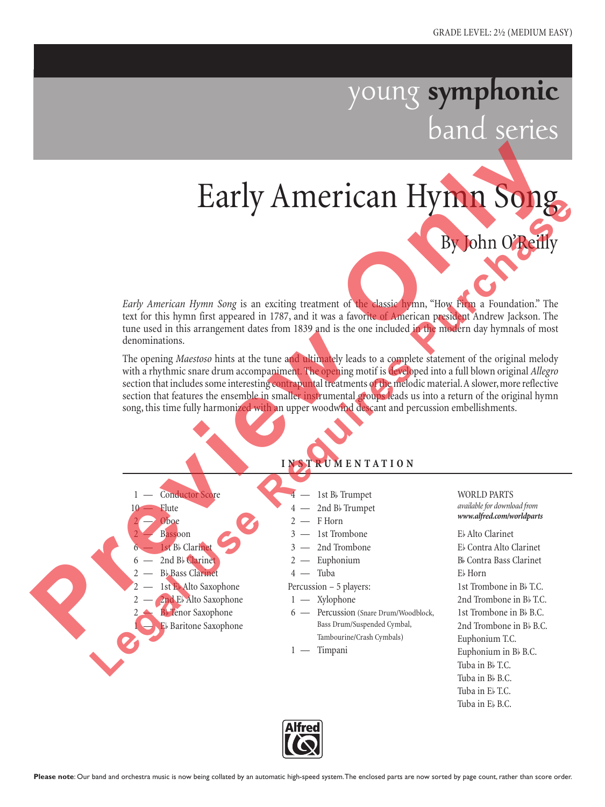By John O'Reilly

## **ung symphonic** band series

# Early American Hymn

*Early American Hymn Song* is an exciting treatment of the classic hymn, "How Firm a Foundation." The text for this hymn first appeared in 1787, and it was a favorite of American president Andrew Jackson. The tune used in this arrangement dates from 1839 and is the one included in the modern day hymnals of most denominations.

The opening *Maestoso* hints at the tune and ultimately leads to a complete statement of the original melody with a rhythmic snare drum accompaniment. The opening motif is developed into a full blown original *Allegro* section that includes some interesting contrapuntal treatments of the melodic material. A slower, more reflective section that features the ensemble in smaller instrumental groups leads us into a return of the original hymn song, this time fully harmonized with an upper woodwind descant and percussion embellishments. Early American Hypes Song is an exting trained only the **Early American Hypes Song is an exting trained only the specific property.**<br>
The point of the specific property of the control of the specific property of the contr **Legal Use Regard School of the Company Control of the Company Control of the Company Control of the Company Control of the Company Control of the Company Control of the Company Control of the Company Control of the Compa** 

- 1 Conductor Score
- 10 Flute
- Oboe **Bassoon**
- 1st B<sub>b</sub> Clarinet
- 2nd B<sub>b</sub> Clarinet
- BL Bass Clarinet
- 1st El Alto Saxophone
- 2nd Eb Alto Saxophone **B** Tenor Saxophone
	- $E_{\flat}$  Baritone Saxophone

#### **i n s t r u m e n t a t i o n**

- 1st B<sub>b</sub> Trumpet
- 2nd B<sub>b</sub> Trumpet
- $2 F$  Horn
	- 1st Trombone
- 2nd Trombone
- Euphonium
- 4 Tuba
- Percussion 5 players:
- 1 Xylophone
- 6 Percussion (Snare Drum/Woodblock, Bass Drum/Suspended Cymbal, Tambourine/Crash Cymbals)
- 1 Timpani

WORLD PARTS *available for download from www.alfred.com/worldparts*

E<sub>b</sub> Alto Clarinet E<sub>b</sub> Contra Alto Clarinet B<sub>b</sub> Contra Bass Clarinet E<sub>b</sub> Horn 1st Trombone in  $B \flat$  T.C. 2nd Trombone in B<sub>b</sub> T.C. 1st Trombone in B<sub>b</sub> B.C. 2nd Trombone in B<sub>b</sub> B.C. Euphonium T.C. Euphonium in B<sub>b</sub> B.C. Tuba in B<sub>b</sub> T.C. Tuba in B<sub>b</sub> B.C. Tuba in E<sub>b</sub> T.C.

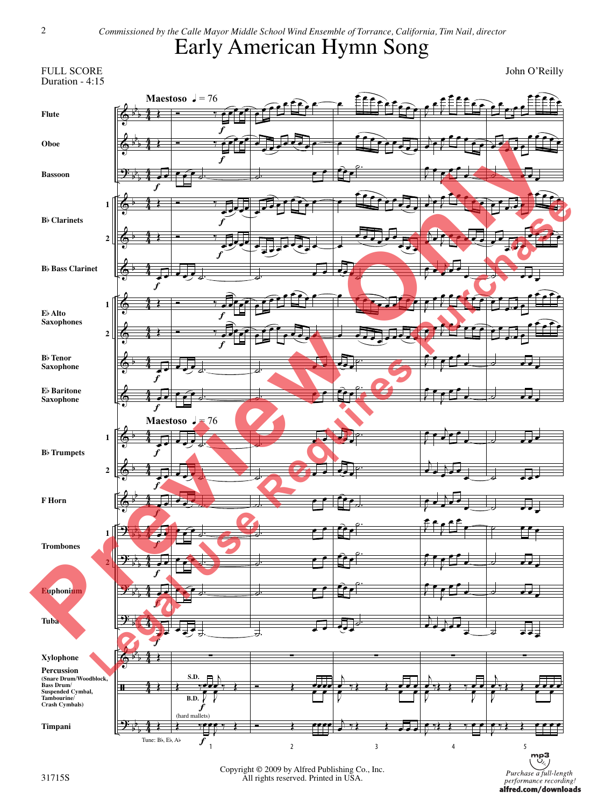#### *Commissioned by the Calle Mayor Middle School Wind Ensemble of Torrance, California, Tim Nail, director*

### Early American Hymn Song



All rights reserved. Printed in USA.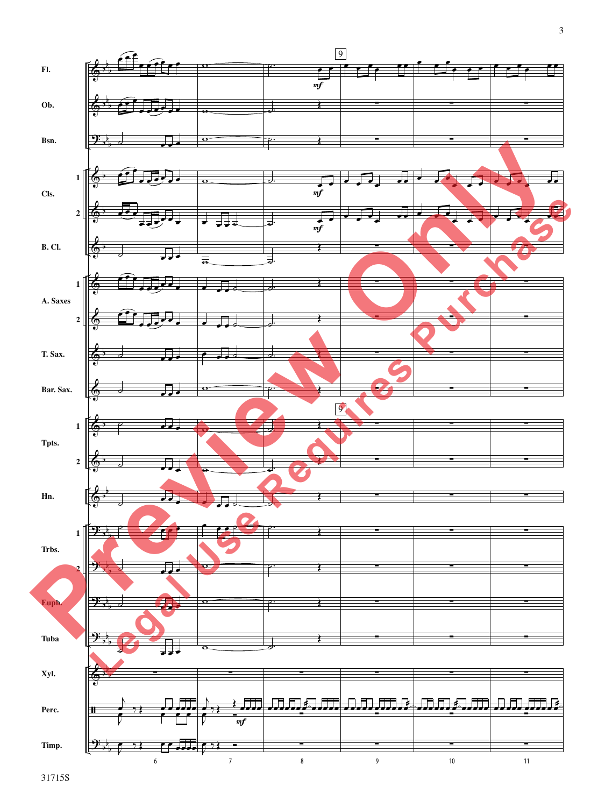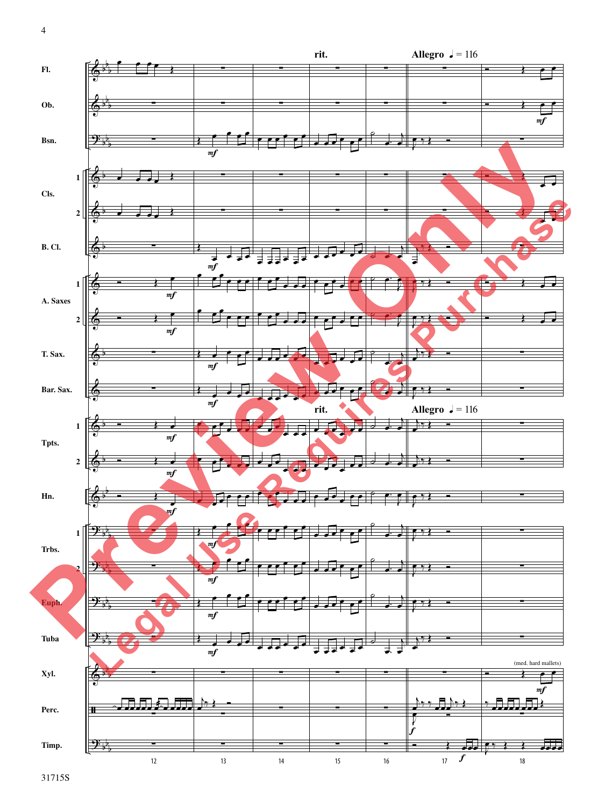

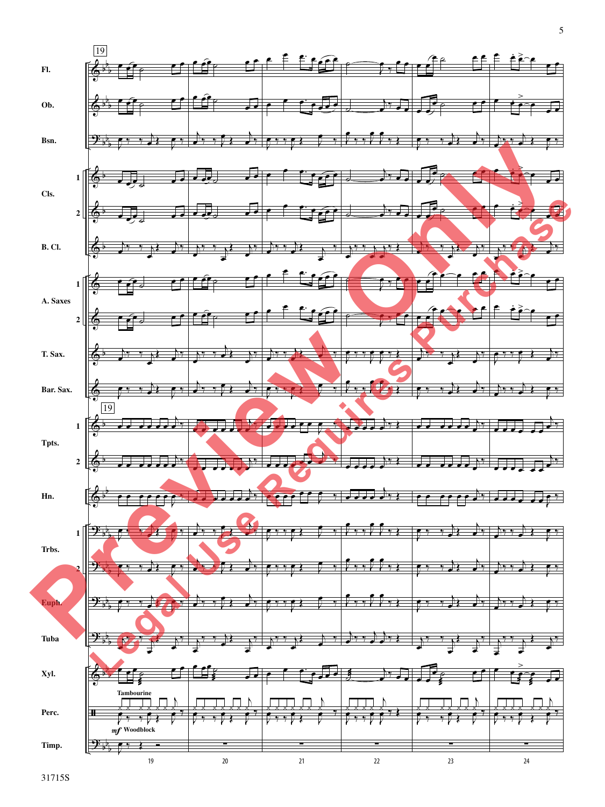& & ? & & & & & & & & & & ? ? ? ? & ã ? b b b b b b b b b b b b b b b b b b b b b b b b b b b b b b b b b b b **Cls. Tpts. Trbs. 1 2 1 2 1 2 Fl. Ob. Bsn. B. Cl. 1 T. Sax. Bar. Sax. Hn. Euph. Tuba Xyl. Perc. Timp. A. Saxes 2** 19 19 <sup>œ</sup> œœ ˙ <sup>œ</sup> <sup>œ</sup> <sup>œ</sup> œœ ˙ <sup>œ</sup> <sup>œ</sup> J œ ‰ ‰ j <sup>œ</sup> <sup>Œ</sup> <sup>J</sup> œ ‰ <sup>œ</sup> œœ ˙ <sup>œ</sup> <sup>œ</sup> <sup>œ</sup> œœ ˙ <sup>œ</sup> <sup>œ</sup> j œ ‰ ‰ j œ Œ j œ ‰ <sup>œ</sup> œœ ˙ <sup>œ</sup> <sup>œ</sup> <sup>œ</sup> œœ ˙ <sup>œ</sup> <sup>œ</sup> j œ ‰ ‰ j œ Œ j œ ‰ J œ ‰ ‰ j <sup>œ</sup> <sup>Œ</sup> <sup>J</sup> œ ‰ <sup>œ</sup> <sup>œ</sup> <sup>œ</sup> <sup>œ</sup> <sup>œ</sup> <sup>œ</sup> <sup>j</sup> œ ‰ <sup>œ</sup> <sup>œ</sup> <sup>œ</sup> <sup>œ</sup> <sup>œ</sup> <sup>œ</sup> <sup>j</sup> œ ‰ <sup>œ</sup> <sup>œ</sup> <sup>œ</sup> <sup>œ</sup> <sup>œ</sup> <sup>œ</sup> <sup>J</sup> œ ‰ J œ ‰ ‰ j <sup>œ</sup> <sup>Œ</sup> <sup>J</sup> œ ‰ J œ ‰ ‰ j <sup>œ</sup> <sup>Œ</sup> <sup>J</sup> œ ‰ J œ ‰ ‰ j <sup>œ</sup> <sup>Œ</sup> <sup>J</sup> œ ‰ j œ ‰ ‰ j œ Œ j œ ‰ œ œœ ˙ æ œ œ ¿ **Tambourine Woodblock** ¿ ¿ ¿ ¿ ¿ <sup>j</sup> ¿ ‰ <sup>J</sup> œ F ‰ ‰ J <sup>œ</sup> <sup>Œ</sup> <sup>J</sup> œ 19 J œ ‰Œ Ó œ œœ˙ œ œ <sup>œ</sup> œœ˙ <sup>œ</sup> <sup>œ</sup> j œ ‰ ‰ J <sup>œ</sup> <sup>Œ</sup> <sup>j</sup> œ ‰ œ œœ˙ œ œ œ œœ˙ œ œ j <sup>œ</sup> ‰ ‰ <sup>j</sup> œ Œ jœ ‰ œ œœ˙ œ œ œ œœ˙ œ œ j <sup>œ</sup> ‰ ‰ <sup>j</sup> <sup>œ</sup> Œ jœ ‰ j œ ‰ ‰ J <sup>œ</sup> <sup>Œ</sup> <sup>j</sup> œ ‰ <sup>œ</sup> <sup>œ</sup> <sup>œ</sup> <sup>œ</sup> <sup>œ</sup> <sup>œ</sup> <sup>j</sup> œ ‰ <sup>œ</sup> <sup>œ</sup> <sup>œ</sup> <sup>œ</sup> <sup>œ</sup> <sup>œ</sup> <sup>j</sup> œ ‰ <sup>œ</sup> <sup>œ</sup> <sup>œ</sup> <sup>œ</sup> <sup>œ</sup> <sup>œ</sup> <sup>j</sup> œ ‰ j œ ‰ ‰ J <sup>œ</sup> <sup>Œ</sup> <sup>j</sup> œ ‰ j œ ‰ ‰ J <sup>œ</sup> <sup>Œ</sup> <sup>j</sup> œ ‰ j œ ‰ ‰ J <sup>œ</sup> <sup>Œ</sup> <sup>j</sup> œ ‰ j œ ‰ ‰ j <sup>œ</sup> <sup>Œ</sup> <sup>j</sup> œ ‰ œ œœ˙ æ œ œ ¿ ¿ ¿ ¿ ¿ ¿ <sup>j</sup> ¿ ‰ <sup>J</sup> <sup>œ</sup> ‰ ‰ <sup>J</sup> <sup>œ</sup> <sup>Œ</sup> <sup>J</sup> œ 20 ∑ <sup>œ</sup> <sup>œ</sup> œ. <sup>œ</sup> <sup>œ</sup> <sup>œ</sup> <sup>œ</sup> <sup>œ</sup> <sup>œ</sup> œ. <sup>œ</sup> <sup>œ</sup> <sup>œ</sup> <sup>œ</sup> J <sup>œ</sup> ‰ ‰ <sup>J</sup> œ Œ J œ ‰ <sup>œ</sup> <sup>œ</sup> œ. <sup>œ</sup> <sup>œ</sup> <sup>œ</sup> <sup>œ</sup> <sup>œ</sup> <sup>œ</sup> œ. <sup>œ</sup> <sup>œ</sup> <sup>œ</sup> <sup>œ</sup> j <sup>œ</sup> ‰ ‰ <sup>j</sup> œ Œ j œ ‰ <sup>œ</sup> <sup>œ</sup> œ. <sup>œ</sup> <sup>œ</sup> <sup>œ</sup> <sup>œ</sup> <sup>œ</sup> <sup>œ</sup> œ. <sup>œ</sup> <sup>œ</sup> <sup>œ</sup> <sup>œ</sup> j <sup>œ</sup> ‰ ‰ <sup>j</sup> <sup>œ</sup> <sup>Œ</sup> <sup>j</sup> œ ‰ J <sup>œ</sup> ‰ ‰ <sup>J</sup> œ Œ J œ ‰ <sup>œ</sup> <sup>œ</sup> <sup>œ</sup> <sup>œ</sup> <sup>œ</sup> <sup>œ</sup> <sup>J</sup> œ ‰ <sup>œ</sup> <sup>œ</sup> <sup>œ</sup> <sup>œ</sup> <sup>œ</sup> <sup>œ</sup> <sup>j</sup> œ ‰ <sup>œ</sup> <sup>œ</sup> <sup>œ</sup> <sup>œ</sup> <sup>œ</sup> <sup>œ</sup> <sup>J</sup> œ ‰ J <sup>œ</sup> ‰ ‰ <sup>J</sup> œ Œ J œ ‰ J <sup>œ</sup> ‰ ‰ <sup>J</sup> œ Œ J œ ‰ J <sup>œ</sup> ‰ ‰ <sup>J</sup> œ Œ J œ ‰ j œ ‰ ‰ j œ Œ j <sup>œ</sup> ‰ <sup>œ</sup> <sup>œ</sup> œ. <sup>œ</sup> <sup>œ</sup> <sup>œ</sup> <sup>œ</sup> ¿ ¿ ¿ ¿ ¿ ¿ <sup>j</sup> ¿ ‰ <sup>J</sup> <sup>œ</sup> ‰ ‰ <sup>J</sup> <sup>œ</sup> <sup>Œ</sup> <sup>J</sup> œ 21 ∑ ˙ <sup>J</sup> <sup>œ</sup> ‰ <sup>œ</sup> <sup>œ</sup> ˙ <sup>j</sup> œ ‰ œ œ J <sup>œ</sup> ‰‰Jœ <sup>J</sup> <sup>œ</sup> ‰ Œ ˙ <sup>j</sup> œ ‰ œ œ ˙ <sup>j</sup> œ ‰ œ œ j œ ‰ ‰ j œ j œ ‰ Œ ˙ <sup>J</sup> œ ‰ œ œ ˙ <sup>J</sup> œ ‰ œ œ J <sup>œ</sup> ‰ ‰ <sup>J</sup> œ J œ ‰ Œ J <sup>œ</sup> ‰‰Jœ <sup>J</sup> <sup>œ</sup> ‰ Œ <sup>œ</sup> <sup>œ</sup> <sup>œ</sup> <sup>œ</sup> <sup>j</sup> œ ‰ Œ <sup>œ</sup> <sup>œ</sup> <sup>œ</sup> <sup>œ</sup> <sup>j</sup> <sup>œ</sup> ‰ Œ <sup>œ</sup> <sup>œ</sup> <sup>œ</sup> <sup>œ</sup> <sup>j</sup> œ ‰ Œ J <sup>œ</sup> ‰‰Jœ <sup>J</sup> <sup>œ</sup> ‰ Œ J <sup>œ</sup> ‰‰Jœ <sup>J</sup> <sup>œ</sup> ‰ Œ J <sup>œ</sup> ‰‰Jœ <sup>J</sup> <sup>œ</sup> ‰ Œ j <sup>œ</sup> ‰ ‰ <sup>j</sup> œ j œ ‰ Œ ˙ æ j œ ‰ œ œ ¿ ¿ ¿ ¿ <sup>j</sup> ¿ ‰ Œ <sup>J</sup> <sup>œ</sup> ‰ ‰ <sup>J</sup> œ J œ 22 ∑ œ œ œ ˙ œ œ œ œ œ ˙ œ œ J œ ‰ ‰ j <sup>œ</sup> <sup>Œ</sup> <sup>j</sup> œ ‰ œ œ œ ˙ œ œ œ œ œ ˙ œ œ j œ ‰ ‰ j œ Œ jœ ‰ œ œ œ œ œ œ œ œ œ œ œ œ œ œ j œ ‰ ‰ j œ Œ jœ ‰ J œ ‰ ‰ j <sup>œ</sup> <sup>Œ</sup> <sup>j</sup> œ ‰ œ œ œ œ œ œ j œ ‰ œ œ œ œ œ œ j œ ‰ œ œ œ œ œ œ j œ ‰ J œ ‰ ‰ j <sup>œ</sup> <sup>Œ</sup> <sup>j</sup> œ ‰ J œ ‰ ‰ j <sup>œ</sup> <sup>Œ</sup> <sup>j</sup> œ ‰ J œ ‰ ‰ j <sup>œ</sup> <sup>Œ</sup> <sup>j</sup> œ ‰ j œ ‰ ‰ j œ Œ j œ ‰ œ œ œ ˙ æ œ œ ¿ ¿ ¿ ¿ ¿ ¿ <sup>j</sup> ¿ ‰ <sup>J</sup> <sup>œ</sup> ‰ ‰ <sup>J</sup> <sup>œ</sup> <sup>Œ</sup> <sup>J</sup> œ 23 ∑ œ œ . œ <sup>&</sup>gt; <sup>œ</sup> <sup>œ</sup> <sup>œ</sup> œ œ . œ <sup>&</sup>gt; <sup>œ</sup> <sup>œ</sup> <sup>œ</sup> j <sup>œ</sup> ‰ ‰ <sup>j</sup> <sup>œ</sup> <sup>Œ</sup> <sup>J</sup> œ ‰ œ œ . œ <sup>&</sup>gt; <sup>œ</sup> <sup>œ</sup> <sup>œ</sup> œ œ . œ <sup>&</sup>gt; <sup>œ</sup> <sup>œ</sup> <sup>œ</sup> j œ ‰ ‰ j <sup>œ</sup> <sup>Œ</sup> <sup>j</sup> œ ‰ œ œ . œ <sup>&</sup>gt; <sup>œ</sup> <sup>œ</sup> <sup>œ</sup> œ œ . œ <sup>&</sup>gt; <sup>œ</sup> <sup>œ</sup> <sup>œ</sup> J œ‰‰ <sup>J</sup> œ Œ j œ ‰ j <sup>œ</sup> ‰ ‰ <sup>j</sup> <sup>œ</sup> <sup>Œ</sup> <sup>J</sup> œ ‰ œ œ œ œ œ œ j œ ‰ œ œ œ œ œ œ j œ ‰ œ œ œ œ œ œ J œ ‰ j <sup>œ</sup> ‰ ‰ <sup>j</sup> <sup>œ</sup> <sup>Œ</sup> <sup>J</sup> œ ‰ j <sup>œ</sup> ‰ ‰ <sup>j</sup> <sup>œ</sup> <sup>Œ</sup> <sup>J</sup> œ ‰ j <sup>œ</sup> ‰ ‰ <sup>j</sup> <sup>œ</sup> <sup>Œ</sup> <sup>J</sup> œ ‰ j œ ‰ ‰ j œ Œ j œ ‰ œ œ œ @ > œ <sup>æ</sup> <sup>œ</sup> <sup>œ</sup> ¿ ¿ ¿ ¿ ¿ ¿ <sup>j</sup> ¿ ‰ <sup>J</sup> <sup>œ</sup> ‰ ‰ <sup>J</sup> <sup>œ</sup> <sup>Œ</sup> <sup>J</sup> œ 24 ∑ **Preview Only Legal Use Requires Purchase**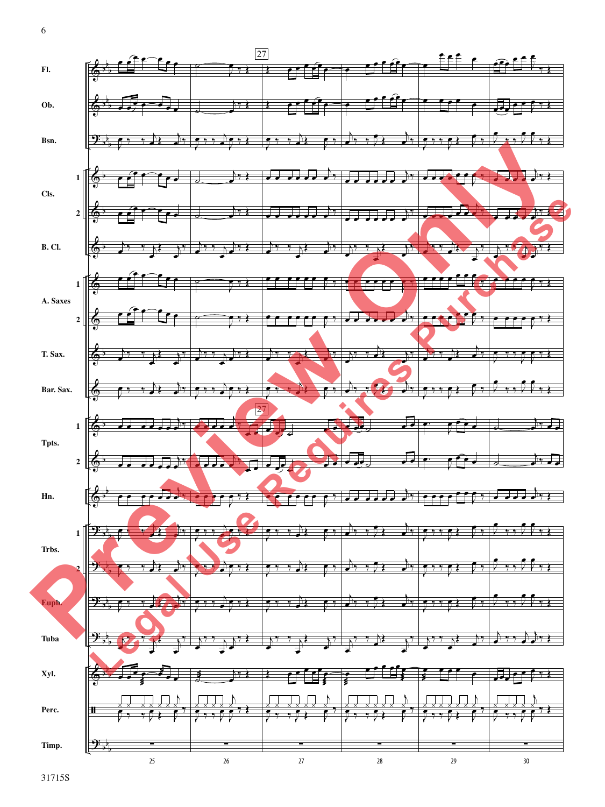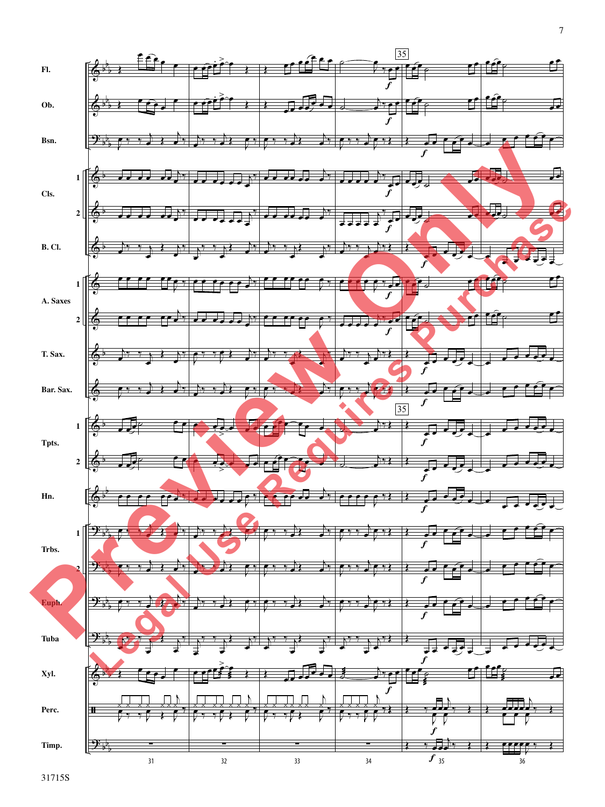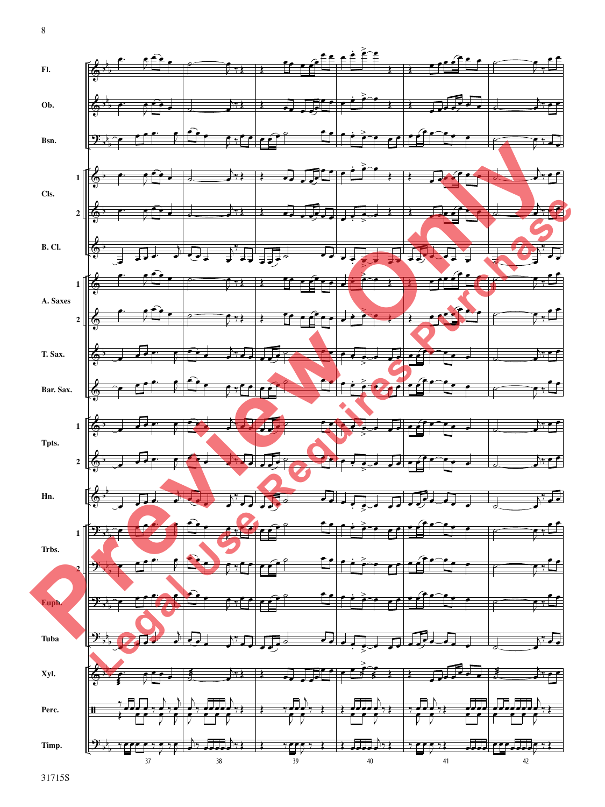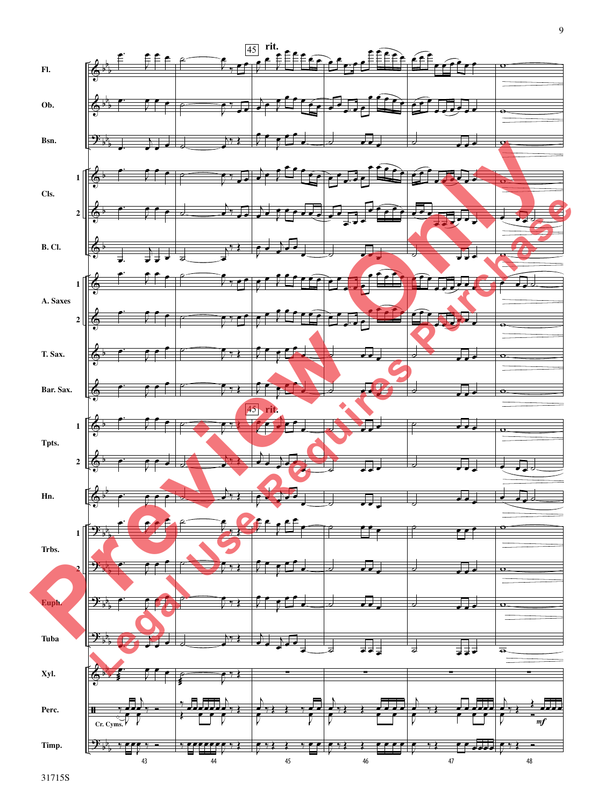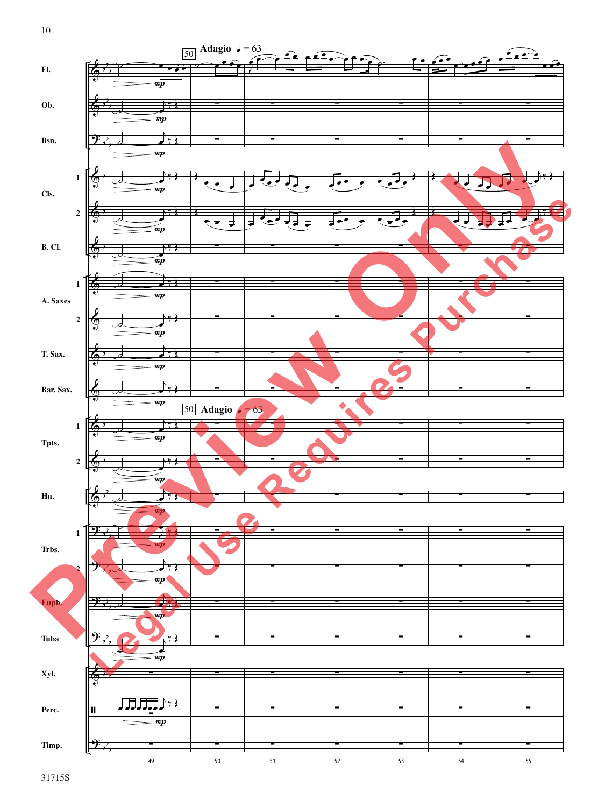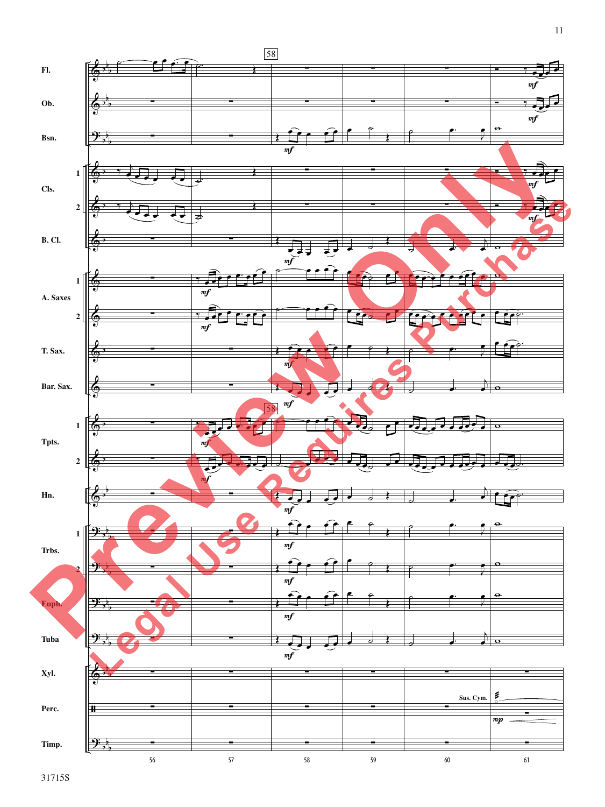

31715S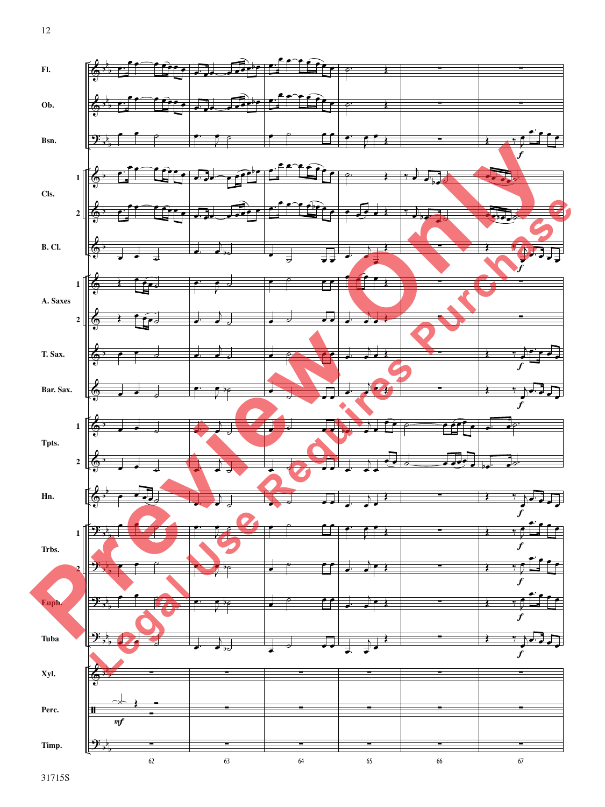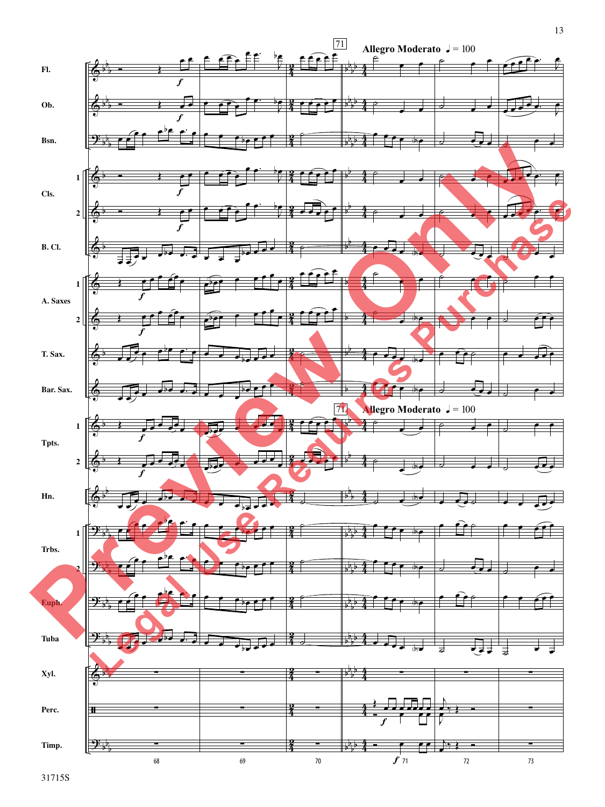

31715S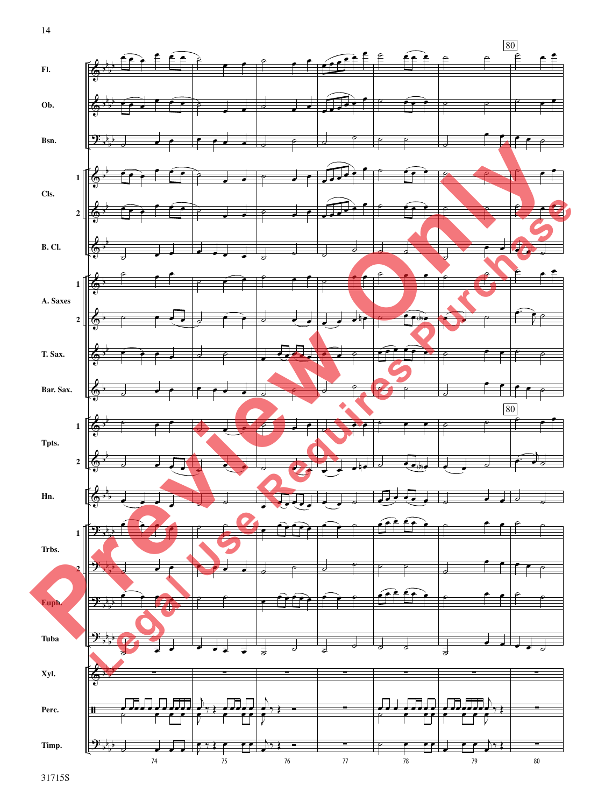

75

76

77

78

79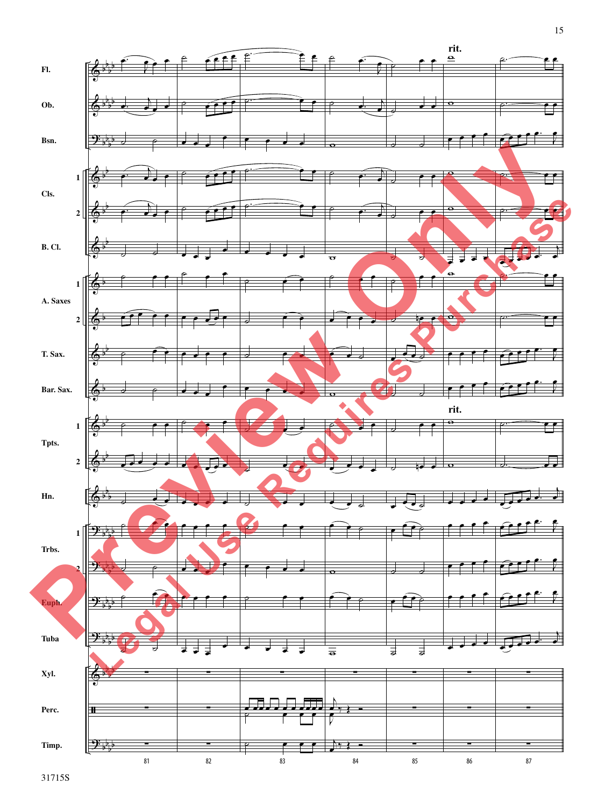